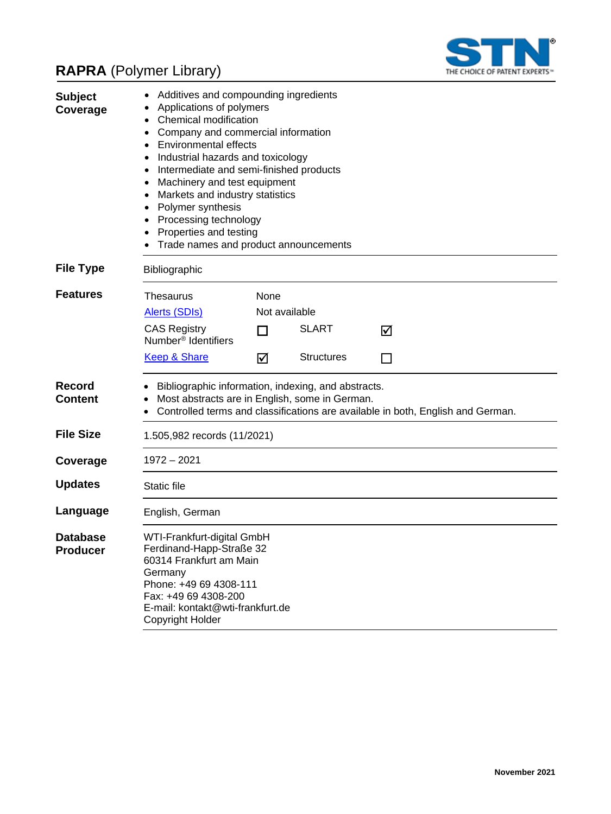# **RAPRA** (Polymer Library)



| <b>Subject</b><br>Coverage         | Additives and compounding ingredients<br>Applications of polymers<br>Chemical modification<br>Company and commercial information<br><b>Environmental effects</b><br>Industrial hazards and toxicology<br>Intermediate and semi-finished products<br>$\bullet$<br>Machinery and test equipment<br>Markets and industry statistics<br>Polymer synthesis<br>Processing technology<br>Properties and testing<br>Trade names and product announcements |               |                   |                                                                                 |
|------------------------------------|---------------------------------------------------------------------------------------------------------------------------------------------------------------------------------------------------------------------------------------------------------------------------------------------------------------------------------------------------------------------------------------------------------------------------------------------------|---------------|-------------------|---------------------------------------------------------------------------------|
| <b>File Type</b>                   | Bibliographic                                                                                                                                                                                                                                                                                                                                                                                                                                     |               |                   |                                                                                 |
| <b>Features</b>                    | Thesaurus                                                                                                                                                                                                                                                                                                                                                                                                                                         | None          |                   |                                                                                 |
|                                    | <b>Alerts (SDIs)</b>                                                                                                                                                                                                                                                                                                                                                                                                                              | Not available |                   |                                                                                 |
|                                    | <b>CAS Registry</b><br>Number <sup>®</sup> Identifiers                                                                                                                                                                                                                                                                                                                                                                                            | H             | <b>SLART</b>      | ⊠                                                                               |
|                                    | <b>Keep &amp; Share</b>                                                                                                                                                                                                                                                                                                                                                                                                                           | ☑             | <b>Structures</b> | H                                                                               |
| <b>Record</b><br><b>Content</b>    | Bibliographic information, indexing, and abstracts.<br>Most abstracts are in English, some in German.                                                                                                                                                                                                                                                                                                                                             |               |                   | Controlled terms and classifications are available in both, English and German. |
| <b>File Size</b>                   | 1.505,982 records (11/2021)                                                                                                                                                                                                                                                                                                                                                                                                                       |               |                   |                                                                                 |
| Coverage                           | 1972 – 2021                                                                                                                                                                                                                                                                                                                                                                                                                                       |               |                   |                                                                                 |
| <b>Updates</b>                     | Static file                                                                                                                                                                                                                                                                                                                                                                                                                                       |               |                   |                                                                                 |
| Language                           | English, German                                                                                                                                                                                                                                                                                                                                                                                                                                   |               |                   |                                                                                 |
| <b>Database</b><br><b>Producer</b> | WTI-Frankfurt-digital GmbH<br>Ferdinand-Happ-Straße 32<br>60314 Frankfurt am Main<br>Germany<br>Phone: +49 69 4308-111<br>Fax: +49 69 4308-200<br>E-mail: kontakt@wti-frankfurt.de<br>Copyright Holder                                                                                                                                                                                                                                            |               |                   |                                                                                 |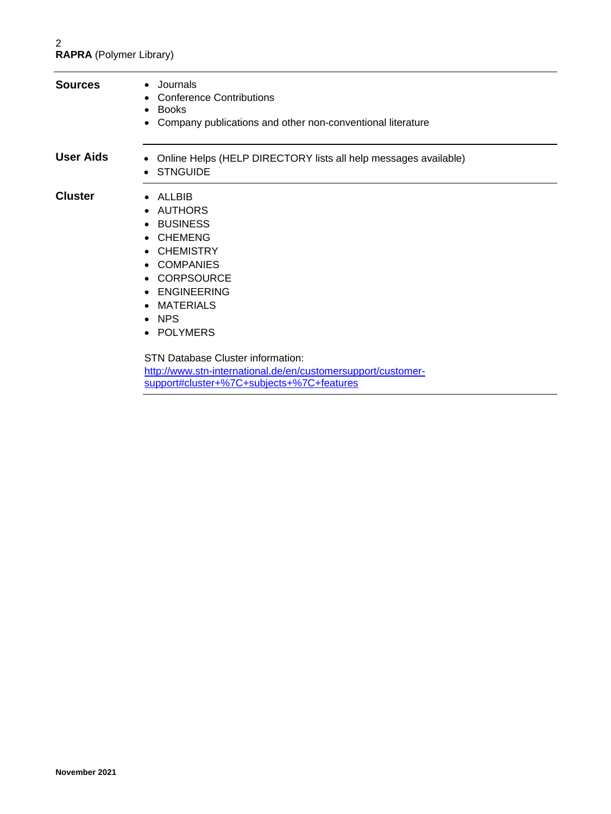| <b>Sources</b>   | • Journals<br><b>Conference Contributions</b><br>Books<br>$\bullet$<br>Company publications and other non-conventional literature<br>٠                                                                                                                                                                       |
|------------------|--------------------------------------------------------------------------------------------------------------------------------------------------------------------------------------------------------------------------------------------------------------------------------------------------------------|
| <b>User Aids</b> | Online Helps (HELP DIRECTORY lists all help messages available)<br>$\bullet$<br>• STNGUIDE                                                                                                                                                                                                                   |
| <b>Cluster</b>   | $\bullet$ ALLBIB<br>AUTHORS<br>$\bullet$<br>• BUSINESS<br>• CHEMENG<br><b>CHEMISTRY</b><br>• COMPANIES<br>• CORPSOURCE<br><b>ENGINEERING</b><br>$\bullet$<br>• MATERIALS<br>$\bullet$ NPS<br>• POLYMERS<br>STN Database Cluster information:<br>http://www.stn-international.de/en/customersupport/customer- |

[support#cluster+%7C+subjects+%7C+features](http://www.stn-international.de/en/customersupport/customer-support#cluster+%7C+subjects+%7C+features)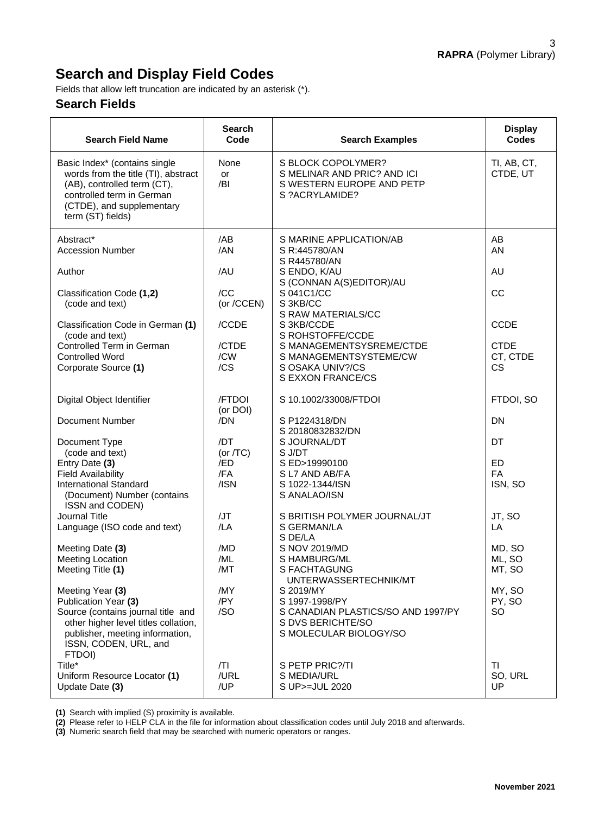## **Search and Display Field Codes**

Fields that allow left truncation are indicated by an asterisk (\*).

#### **Search Fields**

| <b>Search Field Name</b>                                                                                                                                                           | <b>Search</b><br>Code | <b>Search Examples</b>                                                                           | <b>Display</b><br><b>Codes</b> |
|------------------------------------------------------------------------------------------------------------------------------------------------------------------------------------|-----------------------|--------------------------------------------------------------------------------------------------|--------------------------------|
| Basic Index* (contains single<br>words from the title (TI), abstract<br>(AB), controlled term (CT),<br>controlled term in German<br>(CTDE), and supplementary<br>term (ST) fields) | None<br>or<br>/BI     | S BLOCK COPOLYMER?<br>S MELINAR AND PRIC? AND ICI<br>S WESTERN EUROPE AND PETP<br>S ?ACRYLAMIDE? | TI, AB, CT,<br>CTDE, UT        |
| Abstract*<br><b>Accession Number</b>                                                                                                                                               | /AB<br>/AN            | S MARINE APPLICATION/AB<br>S R:445780/AN                                                         | AB<br>AN                       |
| Author                                                                                                                                                                             | /AU                   | S R445780/AN<br>S ENDO, K/AU<br>S (CONNAN A(S)EDITOR)/AU                                         | AU                             |
| Classification Code (1,2)<br>(code and text)                                                                                                                                       | /CC<br>(or /CCEN)     | S 041C1/CC<br>S 3KB/CC                                                                           | CC                             |
| Classification Code in German (1)<br>(code and text)                                                                                                                               | /CCDE                 | S RAW MATERIALS/CC<br>S 3KB/CCDE<br>S ROHSTOFFE/CCDE                                             | <b>CCDE</b>                    |
| Controlled Term in German<br><b>Controlled Word</b>                                                                                                                                | /CTDE<br>/CW          | S MANAGEMENTSYSREME/CTDE<br>S MANAGEMENTSYSTEME/CW                                               | <b>CTDE</b><br>CT, CTDE        |
| Corporate Source (1)                                                                                                                                                               | /CS                   | S OSAKA UNIV?/CS<br>S EXXON FRANCE/CS                                                            | <b>CS</b>                      |
| Digital Object Identifier                                                                                                                                                          | /FTDOI<br>(or DOI)    | S 10.1002/33008/FTDOI                                                                            | FTDOI, SO                      |
| Document Number                                                                                                                                                                    | /DN                   | S P1224318/DN<br>S 20180832832/DN                                                                | <b>DN</b>                      |
| Document Type<br>(code and text)                                                                                                                                                   | /DT<br>(or $/TC$ )    | S JOURNAL/DT<br>S J/DT                                                                           | DT                             |
| Entry Date (3)                                                                                                                                                                     | /ED                   | S ED>19990100                                                                                    | ED                             |
| <b>Field Availability</b>                                                                                                                                                          | /FA                   | S L7 AND AB/FA                                                                                   | <b>FA</b>                      |
| <b>International Standard</b><br>(Document) Number (contains<br>ISSN and CODEN)                                                                                                    | /ISN                  | S 1022-1344/ISN<br>S ANALAO/ISN                                                                  | ISN, SO                        |
| Journal Title                                                                                                                                                                      | /JT                   | S BRITISH POLYMER JOURNAL/JT                                                                     | JT, SO                         |
| Language (ISO code and text)                                                                                                                                                       | /LA                   | S GERMAN/LA<br>S DE/LA                                                                           | LA                             |
| Meeting Date (3)                                                                                                                                                                   | /MD                   | S NOV 2019/MD                                                                                    | MD, SO                         |
| <b>Meeting Location</b><br>Meeting Title (1)                                                                                                                                       | /ML<br>/MT            | S HAMBURG/ML<br>S FACHTAGUNG<br>UNTERWASSERTECHNIK/MT                                            | ML, SO<br>MT, SO               |
| Meeting Year (3)                                                                                                                                                                   | /MY                   | S 2019/MY                                                                                        | MY, SO                         |
| Publication Year (3)                                                                                                                                                               | /PY                   | S 1997-1998/PY                                                                                   | PY, SO                         |
| Source (contains journal title and<br>other higher level titles collation,                                                                                                         | /SO                   | S CANADIAN PLASTICS/SO AND 1997/PY<br>S DVS BERICHTE/SO                                          | <b>SO</b>                      |
| publisher, meeting information,<br>ISSN, CODEN, URL, and                                                                                                                           |                       | S MOLECULAR BIOLOGY/SO                                                                           |                                |
| FTDOI)<br>Title*                                                                                                                                                                   | T                     | S PETP PRIC?/TI                                                                                  | <b>TI</b>                      |
| Uniform Resource Locator (1)                                                                                                                                                       | /URL                  | S MEDIA/URL                                                                                      | SO, URL                        |
| Update Date (3)                                                                                                                                                                    | /UP                   | S UP>=JUL 2020                                                                                   | <b>UP</b>                      |

**(1)** Search with implied (S) proximity is available.

**(2)** Please refer to HELP CLA in the file for information about classification codes until July 2018 and afterwards.

**(3)** Numeric search field that may be searched with numeric operators or ranges.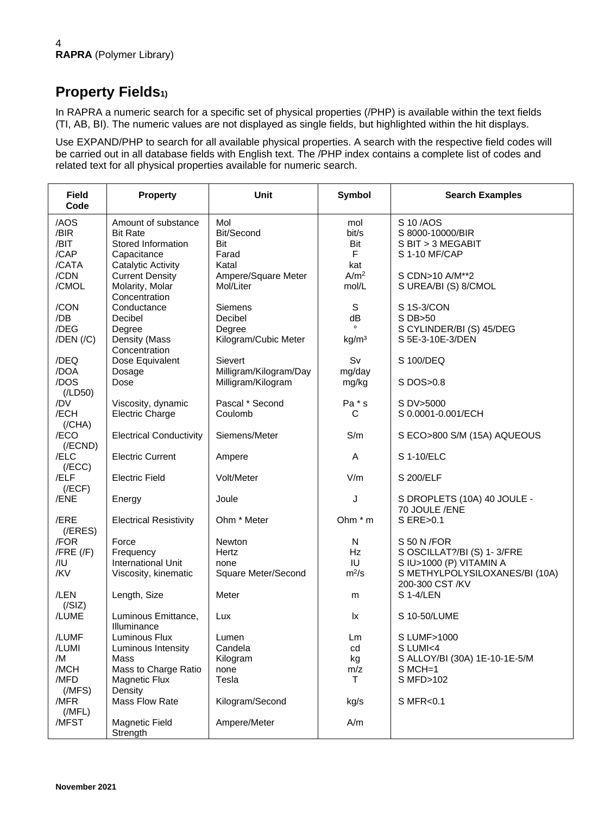## **Property Fields1)**

In RAPRA a numeric search for a specific set of physical properties (/PHP) is available within the text fields (TI, AB, BI). The numeric values are not displayed as single fields, but highlighted within the hit displays.

Use EXPAND/PHP to search for all available physical properties. A search with the respective field codes will be carried out in all database fields with English text. The /PHP index contains a complete list of codes and related text for all physical properties available for numeric search.

| <b>Field</b><br>Code                         | <b>Property</b>                                                                             | <b>Unit</b>                                                 | <b>Symbol</b>                      | <b>Search Examples</b>                                                                                  |
|----------------------------------------------|---------------------------------------------------------------------------------------------|-------------------------------------------------------------|------------------------------------|---------------------------------------------------------------------------------------------------------|
| /AOS<br>/BIR<br>/BIT<br>/CAP                 | Amount of substance<br><b>Bit Rate</b><br>Stored Information<br>Capacitance                 | Mol<br>Bit/Second<br>Bit<br>Farad                           | mol<br>bit/s<br>Bit<br>$\mathsf F$ | S 10/AOS<br>S 8000-10000/BIR<br>S BIT > 3 MEGABIT<br>S 1-10 MF/CAP                                      |
| /CATA<br>/CDN<br>/CMOL                       | Catalytic Activity<br><b>Current Density</b><br>Molarity, Molar<br>Concentration            | Katal<br>Ampere/Square Meter<br>Mol/Liter                   | kat<br>A/m <sup>2</sup><br>mol/L   | S CDN>10 A/M**2<br>S UREA/BI (S) 8/CMOL                                                                 |
| /CON<br>/DB<br>/DEG<br>$/$ DEN $/$ $/$ C $)$ | Conductance<br>Decibel<br>Degree<br>Density (Mass                                           | <b>Siemens</b><br>Decibel<br>Degree<br>Kilogram/Cubic Meter | S<br>dB<br>kg/m <sup>3</sup>       | S 1S-3/CON<br>S DB>50<br>S CYLINDER/BI (S) 45/DEG<br>S 5E-3-10E-3/DEN                                   |
| /DEQ<br>/DOA                                 | Concentration<br>Dose Equivalent<br>Dosage                                                  | Sievert<br>Milligram/Kilogram/Day                           | Sv<br>mg/day                       | S 100/DEQ                                                                                               |
| /DOS<br>(ILD50)                              | Dose                                                                                        | Milligram/Kilogram                                          | mg/kg                              | S DOS>0.8                                                                                               |
| /DV<br>/ECH<br>(/CHA)                        | Viscosity, dynamic<br><b>Electric Charge</b>                                                | Pascal * Second<br>Coulomb                                  | Pa * s<br>С                        | S DV>5000<br>S 0.0001-0.001/ECH                                                                         |
| /ECO<br>$($ /ECND $)$                        | <b>Electrical Conductivity</b>                                                              | Siemens/Meter                                               | S/m                                | S ECO>800 S/M (15A) AQUEOUS                                                                             |
| /ELC<br>(/ECC)<br>/ELF                       | <b>Electric Current</b><br><b>Electric Field</b>                                            | Ampere<br>Volt/Meter                                        | Α<br>V/m                           | S 1-10/ELC<br>S 200/ELF                                                                                 |
| (/ECF)<br>/ENE                               | Energy                                                                                      | Joule                                                       | J                                  | S DROPLETS (10A) 40 JOULE -                                                                             |
| /ERE<br>$($ /ERES $)$                        | <b>Electrical Resistivity</b>                                                               | Ohm * Meter                                                 | Ohm $*$ m                          | 70 JOULE /ENE<br>S ERE>0.1                                                                              |
| /FOR<br>$/$ FRE $($ /F $)$<br>/IU<br>/KV     | Force<br>Frequency<br>International Unit<br>Viscosity, kinematic                            | <b>Newton</b><br>Hertz<br>none<br>Square Meter/Second       | N<br><b>Hz</b><br>IU<br>$m^2/s$    | S 50 N / FOR<br>S OSCILLAT?/BI (S) 1-3/FRE<br>S IU>1000 (P) VITAMIN A<br>S METHYLPOLYSILOXANES/BI (10A) |
| /LEN<br>(/SIZ)                               | Length, Size                                                                                | Meter                                                       | m                                  | 200-300 CST /KV<br>S 1-4/LEN                                                                            |
| /LUME                                        | Luminous Emittance,<br>Illuminance                                                          | Lux                                                         | lx                                 | S 10-50/LUME                                                                                            |
| /LUMF<br>/LUMI<br>/M<br>/MCH<br>/MFD         | Luminous Flux<br>Luminous Intensity<br>Mass<br>Mass to Charge Ratio<br><b>Magnetic Flux</b> | Lumen<br>Candela<br>Kilogram<br>none<br>Tesla               | Lm<br>cd<br>kg<br>m/z<br>T         | S LUMF>1000<br>S LUMI<4<br>S ALLOY/BI (30A) 1E-10-1E-5/M<br>$S$ MCH=1<br>S MFD>102                      |
| (MFS)<br>/MFR<br>(MFL)<br>/MFST              | Density<br>Mass Flow Rate<br>Magnetic Field                                                 | Kilogram/Second<br>Ampere/Meter                             | kg/s<br>A/m                        | S MFR<0.1                                                                                               |
|                                              | Strength                                                                                    |                                                             |                                    |                                                                                                         |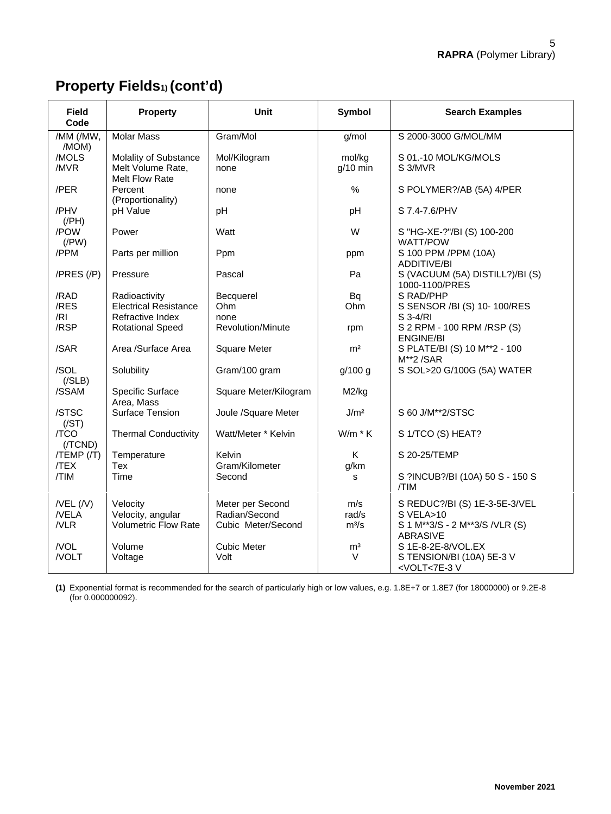# **Property Fields1) (cont'd)**

| <b>Field</b><br>Code   | <b>Property</b>                                              | Unit                     | <b>Symbol</b>        | <b>Search Examples</b>                                         |
|------------------------|--------------------------------------------------------------|--------------------------|----------------------|----------------------------------------------------------------|
| /MM (/MW,<br>/MOM)     | <b>Molar Mass</b>                                            | Gram/Mol                 | g/mol                | S 2000-3000 G/MOL/MM                                           |
| /MOLS<br>/MVR          | Molality of Substance<br>Melt Volume Rate,<br>Melt Flow Rate | Mol/Kilogram<br>none     | mol/kg<br>$g/10$ min | S 01.-10 MOL/KG/MOLS<br>S 3/MVR                                |
| /PER                   | Percent<br>(Proportionality)                                 | none                     | $\frac{0}{0}$        | S POLYMER?/AB (5A) 4/PER                                       |
| /PHV<br>$($ /PH $)$    | pH Value                                                     | pH                       | pH                   | S 7.4-7.6/PHV                                                  |
| /POW<br>$($ /PW $)$    | Power                                                        | Watt                     | W                    | S "HG-XE-?"/BI (S) 100-200<br>WATT/POW                         |
| /PPM                   | Parts per million                                            | Ppm                      | ppm                  | S 100 PPM /PPM (10A)<br>ADDITIVE/BI                            |
| $/PRES$ $//P)$         | Pressure                                                     | Pascal                   | Pa                   | S (VACUUM (5A) DISTILL?)/BI (S)<br>1000-1100/PRES              |
| /RAD                   | Radioactivity                                                | Becquerel                | Bq                   | S RAD/PHP                                                      |
| /RES                   | <b>Electrical Resistance</b>                                 | Ohm                      | Ohm                  | S SENSOR /BI (S) 10-100/RES                                    |
| /RI                    | Refractive Index                                             | none                     |                      | S 3-4/RI                                                       |
| /RSP                   | <b>Rotational Speed</b>                                      | <b>Revolution/Minute</b> | rpm                  | S 2 RPM - 100 RPM / RSP (S)<br><b>ENGINE/BI</b>                |
| /SAR                   | Area /Surface Area                                           | <b>Square Meter</b>      | m <sup>2</sup>       | S PLATE/BI (S) 10 M**2 - 100<br>M**2/SAR                       |
| /SOL<br>( / SLB)       | Solubility                                                   | Gram/100 gram            | g/100 g              | S SOL>20 G/100G (5A) WATER                                     |
| /SSAM                  | Specific Surface<br>Area, Mass                               | Square Meter/Kilogram    | M2/kg                |                                                                |
| /STSC<br>(/ST)         | Surface Tension                                              | Joule /Square Meter      | J/m <sup>2</sup>     | S 60 J/M**2/STSC                                               |
| /TCO<br>(/TCND)        | <b>Thermal Conductivity</b>                                  | Watt/Meter * Kelvin      | $W/m * K$            | S 1/TCO (S) HEAT?                                              |
| $/TEMP$ $//T)$<br>/TEX | Temperature<br>Tex                                           | Kelvin<br>Gram/Kilometer | K<br>g/km            | S 20-25/TEMP                                                   |
| /TIM                   | Time                                                         | Second                   | s                    | S ?INCUB?/BI (10A) 50 S - 150 S<br>/TIM                        |
| $/$ VEL $($ /V $)$     | Velocity                                                     | Meter per Second         | m/s                  | S REDUC?/BI (S) 1E-3-5E-3/VEL                                  |
| /VELA                  | Velocity, angular                                            | Radian/Second            | rad/s                | S VELA>10                                                      |
| /VLR                   | <b>Volumetric Flow Rate</b>                                  | Cubic Meter/Second       | $m^3/s$              | S 1 M**3/S - 2 M**3/S /VLR (S)<br><b>ABRASIVE</b>              |
| /VOL                   | Volume                                                       | <b>Cubic Meter</b>       | m <sup>3</sup>       | S 1E-8-2E-8/VOL.EX                                             |
| /VOLT                  | Voltage                                                      | Volt                     | $\vee$               | S TENSION/BI (10A) 5E-3 V<br><volt<7e-3v< td=""></volt<7e-3v<> |

**(1)** Exponential format is recommended for the search of particularly high or low values, e.g. 1.8E+7 or 1.8E7 (for 18000000) or 9.2E-8 (for 0.000000092).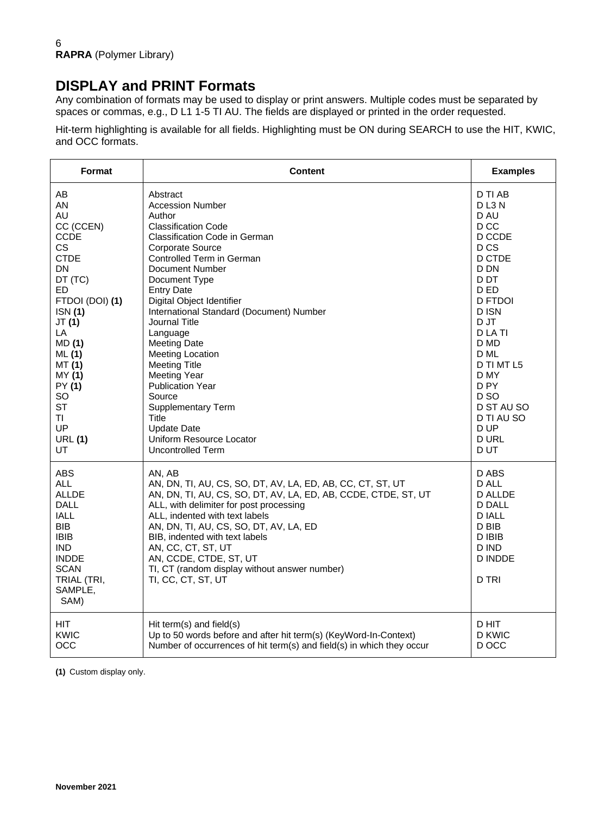### **DISPLAY and PRINT Formats**

Any combination of formats may be used to display or print answers. Multiple codes must be separated by spaces or commas, e.g., D L1 1-5 TI AU. The fields are displayed or printed in the order requested.

Hit-term highlighting is available for all fields. Highlighting must be ON during SEARCH to use the HIT, KWIC, and OCC formats.

| Format                                                                                                                                                                             | <b>Content</b>                                                                                                                                                                                                                                                                                                                                                                                                         | <b>Examples</b>                                                                                                          |
|------------------------------------------------------------------------------------------------------------------------------------------------------------------------------------|------------------------------------------------------------------------------------------------------------------------------------------------------------------------------------------------------------------------------------------------------------------------------------------------------------------------------------------------------------------------------------------------------------------------|--------------------------------------------------------------------------------------------------------------------------|
| AB                                                                                                                                                                                 | Abstract                                                                                                                                                                                                                                                                                                                                                                                                               | D TI AB                                                                                                                  |
| AN                                                                                                                                                                                 | <b>Accession Number</b>                                                                                                                                                                                                                                                                                                                                                                                                | DL3N                                                                                                                     |
| AU                                                                                                                                                                                 | Author                                                                                                                                                                                                                                                                                                                                                                                                                 | D AU                                                                                                                     |
| CC (CCEN)                                                                                                                                                                          | <b>Classification Code</b>                                                                                                                                                                                                                                                                                                                                                                                             | D CC                                                                                                                     |
| <b>CCDE</b>                                                                                                                                                                        | Classification Code in German                                                                                                                                                                                                                                                                                                                                                                                          | D CCDE                                                                                                                   |
| <b>CS</b>                                                                                                                                                                          | Corporate Source                                                                                                                                                                                                                                                                                                                                                                                                       | D <sub>CS</sub>                                                                                                          |
| <b>CTDE</b>                                                                                                                                                                        | Controlled Term in German                                                                                                                                                                                                                                                                                                                                                                                              | D CTDE                                                                                                                   |
| DN                                                                                                                                                                                 | Document Number                                                                                                                                                                                                                                                                                                                                                                                                        | D DN                                                                                                                     |
| DT (TC)                                                                                                                                                                            | Document Type                                                                                                                                                                                                                                                                                                                                                                                                          | D DT                                                                                                                     |
| ED.                                                                                                                                                                                | <b>Entry Date</b>                                                                                                                                                                                                                                                                                                                                                                                                      | D ED                                                                                                                     |
| FTDOI (DOI) (1)                                                                                                                                                                    | Digital Object Identifier                                                                                                                                                                                                                                                                                                                                                                                              | <b>D FTDOI</b>                                                                                                           |
| ISN(1)                                                                                                                                                                             | International Standard (Document) Number                                                                                                                                                                                                                                                                                                                                                                               | D ISN                                                                                                                    |
| JT(1)                                                                                                                                                                              | Journal Title                                                                                                                                                                                                                                                                                                                                                                                                          | D JT                                                                                                                     |
| LA                                                                                                                                                                                 | Language                                                                                                                                                                                                                                                                                                                                                                                                               | D LA TI                                                                                                                  |
| MD (1)                                                                                                                                                                             | <b>Meeting Date</b>                                                                                                                                                                                                                                                                                                                                                                                                    | D MD                                                                                                                     |
| ML(1)                                                                                                                                                                              | Meeting Location                                                                                                                                                                                                                                                                                                                                                                                                       | D ML                                                                                                                     |
| MT (1)                                                                                                                                                                             | <b>Meeting Title</b>                                                                                                                                                                                                                                                                                                                                                                                                   | D TI MT L5                                                                                                               |
| MY (1)                                                                                                                                                                             | <b>Meeting Year</b>                                                                                                                                                                                                                                                                                                                                                                                                    | D MY                                                                                                                     |
| PY (1)                                                                                                                                                                             | <b>Publication Year</b>                                                                                                                                                                                                                                                                                                                                                                                                | D PY                                                                                                                     |
| SO                                                                                                                                                                                 | Source                                                                                                                                                                                                                                                                                                                                                                                                                 | D SO                                                                                                                     |
| <b>ST</b>                                                                                                                                                                          | <b>Supplementary Term</b>                                                                                                                                                                                                                                                                                                                                                                                              | D ST AU SO                                                                                                               |
| TI                                                                                                                                                                                 | Title                                                                                                                                                                                                                                                                                                                                                                                                                  | D TI AU SO                                                                                                               |
| UP                                                                                                                                                                                 | <b>Update Date</b>                                                                                                                                                                                                                                                                                                                                                                                                     | D UP                                                                                                                     |
| <b>URL (1)</b>                                                                                                                                                                     | Uniform Resource Locator                                                                                                                                                                                                                                                                                                                                                                                               | <b>D URL</b>                                                                                                             |
| UT                                                                                                                                                                                 | Uncontrolled Term                                                                                                                                                                                                                                                                                                                                                                                                      | D UT                                                                                                                     |
| <b>ABS</b><br><b>ALL</b><br><b>ALLDE</b><br><b>DALL</b><br><b>IALL</b><br><b>BIB</b><br><b>IBIB</b><br><b>IND</b><br><b>INDDE</b><br><b>SCAN</b><br>TRIAL (TRI,<br>SAMPLE,<br>SAM) | AN. AB<br>AN, DN, TI, AU, CS, SO, DT, AV, LA, ED, AB, CC, CT, ST, UT<br>AN, DN, TI, AU, CS, SO, DT, AV, LA, ED, AB, CCDE, CTDE, ST, UT<br>ALL, with delimiter for post processing<br>ALL, indented with text labels<br>AN, DN, TI, AU, CS, SO, DT, AV, LA, ED<br>BIB, indented with text labels<br>AN, CC, CT, ST, UT<br>AN, CCDE, CTDE, ST, UT<br>TI, CT (random display without answer number)<br>TI, CC, CT, ST, UT | D ABS<br>D ALL<br><b>D ALLDE</b><br><b>D DALL</b><br><b>DIALL</b><br>D BIB<br>D IBIB<br>D IND<br><b>D INDDE</b><br>D TRI |
| <b>HIT</b>                                                                                                                                                                         | Hit term(s) and field(s)                                                                                                                                                                                                                                                                                                                                                                                               | D HIT                                                                                                                    |
| <b>KWIC</b>                                                                                                                                                                        | Up to 50 words before and after hit term(s) (KeyWord-In-Context)                                                                                                                                                                                                                                                                                                                                                       | D KWIC                                                                                                                   |
| OCC                                                                                                                                                                                | Number of occurrences of hit term(s) and field(s) in which they occur                                                                                                                                                                                                                                                                                                                                                  | D OCC                                                                                                                    |

**(1)** Custom display only.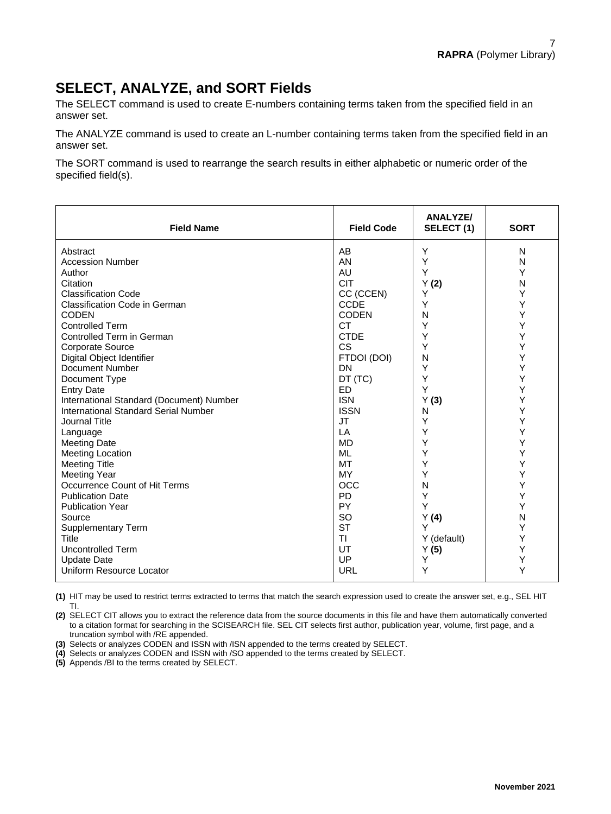### **SELECT, ANALYZE, and SORT Fields**

The SELECT command is used to create E-numbers containing terms taken from the specified field in an answer set.

The ANALYZE command is used to create an L-number containing terms taken from the specified field in an answer set.

The SORT command is used to rearrange the search results in either alphabetic or numeric order of the specified field(s).

| <b>Field Name</b>                           | <b>Field Code</b> | <b>ANALYZE/</b><br>SELECT(1) | <b>SORT</b> |
|---------------------------------------------|-------------------|------------------------------|-------------|
| Abstract                                    | AB                | Y                            | N           |
| <b>Accession Number</b>                     | AN                | Y                            | N           |
| Author                                      | AU                | Υ                            | Y           |
| Citation                                    | <b>CIT</b>        | Y(2)                         | N           |
| <b>Classification Code</b>                  | CC (CCEN)         | Y                            | Y           |
| <b>Classification Code in German</b>        | <b>CCDE</b>       | Y                            | Υ           |
| <b>CODEN</b>                                | <b>CODEN</b>      | N                            | Υ           |
| <b>Controlled Term</b>                      | <b>CT</b>         | Y                            | Υ           |
| Controlled Term in German                   | <b>CTDE</b>       | Υ                            | Y           |
| <b>Corporate Source</b>                     | <b>CS</b>         | Y                            | Y           |
| Digital Object Identifier                   | FTDOI (DOI)       | N                            | Υ           |
| Document Number                             | <b>DN</b>         | Y                            | Υ           |
| Document Type                               | DT (TC)           | Υ                            | Υ           |
| <b>Entry Date</b>                           | <b>ED</b>         | Y                            | Y           |
| International Standard (Document) Number    | <b>ISN</b>        | Y(3)                         | Υ           |
| <b>International Standard Serial Number</b> | <b>ISSN</b>       | N                            | Υ           |
| Journal Title                               | <b>JT</b>         | Υ                            | Υ           |
| Language                                    | LA                | Y                            | Υ           |
| <b>Meeting Date</b>                         | <b>MD</b>         | Y                            | Y           |
| <b>Meeting Location</b>                     | ML                | Y                            | Y           |
| <b>Meeting Title</b>                        | MT                | Y                            | Υ           |
| <b>Meeting Year</b>                         | MY                | Y                            | Y           |
| Occurrence Count of Hit Terms               | <b>OCC</b>        | N                            | Υ           |
| <b>Publication Date</b>                     | <b>PD</b>         | Y                            | Υ           |
| <b>Publication Year</b>                     | <b>PY</b>         | Y                            | Y           |
| Source                                      | SO                | Y(4)                         | N           |
| <b>Supplementary Term</b>                   | <b>ST</b>         | Y                            | Y           |
| Title                                       | <b>TI</b>         | Y (default)                  | Υ           |
| <b>Uncontrolled Term</b>                    | UT                | Y(5)                         | Y           |
| <b>Update Date</b>                          | UP                | Y                            | Υ           |
| Uniform Resource Locator                    | URL               | Υ                            | Υ           |

**(1)** HIT may be used to restrict terms extracted to terms that match the search expression used to create the answer set, e.g., SEL HIT TI.

**(2)** SELECT CIT allows you to extract the reference data from the source documents in this file and have them automatically converted to a citation format for searching in the SCISEARCH file. SEL CIT selects first author, publication year, volume, first page, and a truncation symbol with /RE appended.

**(3)** Selects or analyzes CODEN and ISSN with /ISN appended to the terms created by SELECT.

**(4)** Selects or analyzes CODEN and ISSN with /SO appended to the terms created by SELECT.

**(5)** Appends /BI to the terms created by SELECT.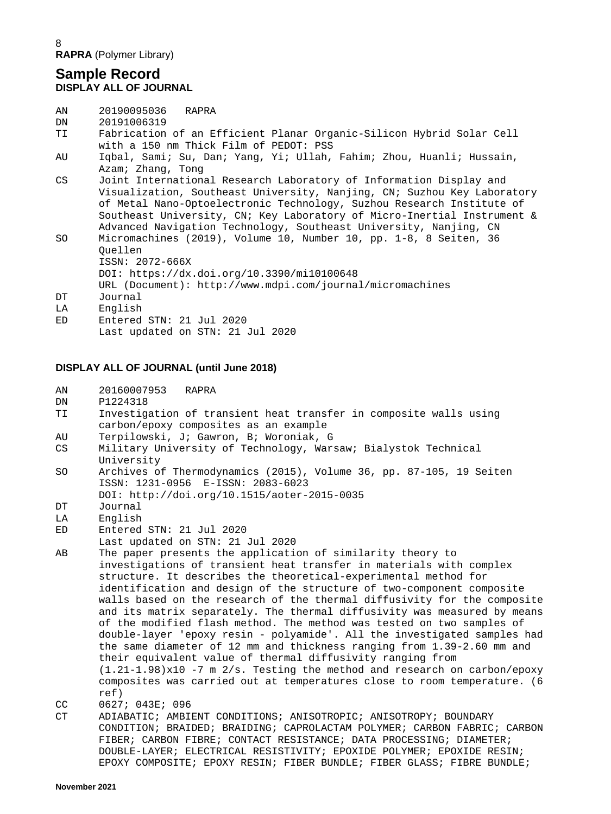8 **RAPRA** (Polymer Library)

#### **Sample Record DISPLAY ALL OF JOURNAL**

| AN               | 20190095036<br>RAPRA                                                                                                                                                                                                                                                                                                                                                   |
|------------------|------------------------------------------------------------------------------------------------------------------------------------------------------------------------------------------------------------------------------------------------------------------------------------------------------------------------------------------------------------------------|
| DN               | 20191006319                                                                                                                                                                                                                                                                                                                                                            |
| TI               | Fabrication of an Efficient Planar Organic-Silicon Hybrid Solar Cell<br>with a 150 nm Thick Film of PEDOT: PSS                                                                                                                                                                                                                                                         |
| AU               | Iqbal, Sami; Su, Dan; Yang, Yi; Ullah, Fahim; Zhou, Huanli; Hussain,<br>Azam; Zhang, Tong                                                                                                                                                                                                                                                                              |
| CS               | Joint International Research Laboratory of Information Display and<br>Visualization, Southeast University, Nanjing, CN; Suzhou Key Laboratory<br>of Metal Nano-Optoelectronic Technology, Suzhou Research Institute of<br>Southeast University, CN; Key Laboratory of Micro-Inertial Instrument &<br>Advanced Navigation Technology, Southeast University, Nanjing, CN |
| SO.              | Micromachines (2019), Volume 10, Number 10, pp. 1-8, 8 Seiten, 36<br>Ouellen<br>ISSN: 2072-666X<br>$DOI:$ https://dx.doi.org/10.3390/mil0100648<br>URL (Document): http://www.mdpi.com/journal/micromachines                                                                                                                                                           |
| DT.<br>LA<br>ED. | Journal<br>English<br>Entered STN: 21 Jul 2020                                                                                                                                                                                                                                                                                                                         |
|                  | Last updated on STN: 21 Jul 2020                                                                                                                                                                                                                                                                                                                                       |

#### **DISPLAY ALL OF JOURNAL (until June 2018)**

| ΑN | 20160007953 | RAPRA |
|----|-------------|-------|
|    |             |       |

- DN P1224318<br>TI Investiga
- Investigation of transient heat transfer in composite walls using carbon/epoxy composites as an example<br>AU Terpilowski, J; Gawron, B; Woroniak, Q
- AU Terpilowski, J; Gawron, B; Woroniak, G
- Military University of Technology, Warsaw; Bialystok Technical University<br>SO Archives o
- Archives of Thermodynamics (2015), Volume 36, pp. 87-105, 19 Seiten ISSN: 1231-0956 E-ISSN: 2083-6023 DOI: http://doi.org/10.1515/aoter-2015-0035<br>DT Journal
- DT Journal<br>LA English
- LA English<br>ED Entered
- Entered STN: 21 Jul 2020
- Last updated on STN: 21 Jul 2020<br>AB The paper presents the application
- The paper presents the application of similarity theory to investigations of transient heat transfer in materials with complex structure. It describes the theoretical-experimental method for identification and design of the structure of two-component composite walls based on the research of the thermal diffusivity for the composite and its matrix separately. The thermal diffusivity was measured by means of the modified flash method. The method was tested on two samples of double-layer 'epoxy resin - polyamide'. All the investigated samples had the same diameter of 12 mm and thickness ranging from 1.39-2.60 mm and their equivalent value of thermal diffusivity ranging from  $(1.21-1.98)x10 -7$  m  $2/s$ . Testing the method and research on carbon/epoxy composites was carried out at temperatures close to room temperature. (6 ref)<br>CC 0627
- CC 0627; 043E; 096<br>CT ADIABATIC; AMBI
- CT ADIABATIC; AMBIENT CONDITIONS; ANISOTROPIC; ANISOTROPY; BOUNDARY CONDITION; BRAIDED; BRAIDING; CAPROLACTAM POLYMER; CARBON FABRIC; CARBON FIBER; CARBON FIBRE; CONTACT RESISTANCE; DATA PROCESSING; DIAMETER; DOUBLE-LAYER; ELECTRICAL RESISTIVITY; EPOXIDE POLYMER; EPOXIDE RESIN; EPOXY COMPOSITE; EPOXY RESIN; FIBER BUNDLE; FIBER GLASS; FIBRE BUNDLE;